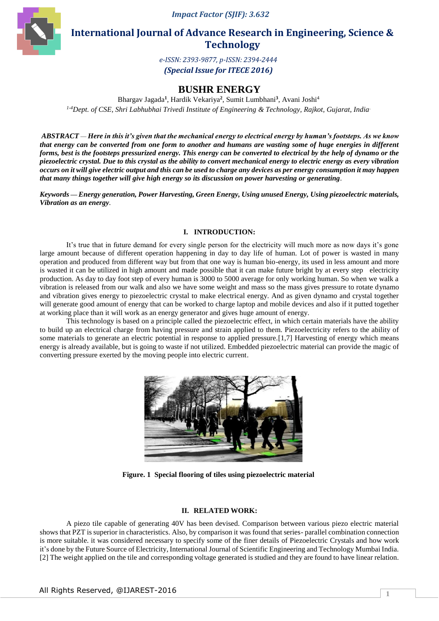*Impact Factor (SJIF): 3.632*



**International Journal of Advance Research in Engineering, Science & Technology**

> *e-ISSN: 2393-9877, p-ISSN: 2394-2444 (Special Issue for ITECE 2016)*

# **BUSHR ENERGY**

Bhargav Jagada**<sup>1</sup>** , Hardik Vekariya**<sup>2</sup>** , Sumit Lumbhani**<sup>3</sup>** , Avani Joshi<sup>4</sup> *1-4Dept. of CSE, Shri Labhubhai Trivedi Institute of Engineering & Technology, Rajkot, Gujarat, India.*

*ABSTRACT — Here in this it's given that the mechanical energy to electrical energy by human's footsteps. As we know that energy can be converted from one form to another and humans are wasting some of huge energies in different forms, best is the footsteps pressurized energy. This energy can be converted to electrical by the help of dynamo or the piezoelectric crystal. Due to this crystal as the ability to convert mechanical energy to electric energy as every vibration occurs on it will give electric output and this can be used to charge any devices as per energy consumption it may happen that many things together will give high energy so its discussion on power harvesting or generating.*

*Keywords — Energy generation, Power Harvesting, Green Energy, Using unused Energy, Using piezoelectric materials, Vibration as an energy.*

# **I. INTRODUCTION:**

It's true that in future demand for every single person for the electricity will much more as now days it's gone large amount because of different operation happening in day to day life of human. Lot of power is wasted in many operation and produced from different way but from that one way is human bio-energy, its used in less amount and more is wasted it can be utilized in high amount and made possible that it can make future bright by at every step electricity production. As day to day foot step of every human is 3000 to 5000 average for only working human. So when we walk a vibration is released from our walk and also we have some weight and mass so the mass gives pressure to rotate dynamo and vibration gives energy to piezoelectric crystal to make electrical energy. And as given dynamo and crystal together will generate good amount of energy that can be worked to charge laptop and mobile devices and also if it putted together at working place than it will work as an energy generator and gives huge amount of energy.

This technology is based on a principle called the piezoelectric effect, in which certain materials have the ability to build up an electrical charge from having pressure and strain applied to them. Piezoelectricity refers to the ability of some materials to generate an electric potential in response to applied pressure.[1,7] Harvesting of energy which means energy is already available, but is going to waste if not utilized. Embedded piezoelectric material can provide the magic of converting pressure exerted by the moving people into electric current.



**Figure. 1 Special flooring of tiles using piezoelectric material** 

## **II. RELATED WORK:**

A piezo tile capable of generating 40V has been devised. Comparison between various piezo electric material shows that PZT is superior in characteristics. Also, by comparison it was found that series- parallel combination connection is more suitable. it was considered necessary to specify some of the finer details of Piezoelectric Crystals and how work it's done by the Future Source of Electricity, International Journal of Scientific Engineering and Technology Mumbai India. [2] The weight applied on the tile and corresponding voltage generated is studied and they are found to have linear relation.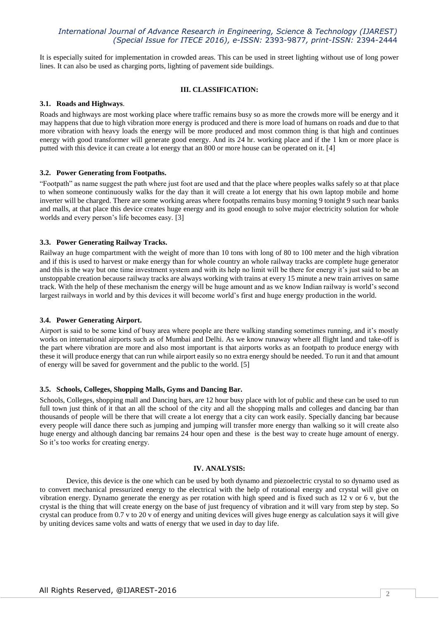# *International Journal of Advance Research in Engineering, Science & Technology (IJAREST) (Special Issue for ITECE 2016), e-ISSN:* 2393-9877*, print-ISSN:* 2394-2444

It is especially suited for implementation in crowded areas. This can be used in street lighting without use of long power lines. It can also be used as charging ports, lighting of pavement side buildings.

#### **III. CLASSIFICATION:**

#### **3.1. Roads and Highways**.

Roads and highways are most working place where traffic remains busy so as more the crowds more will be energy and it may happens that due to high vibration more energy is produced and there is more load of humans on roads and due to that more vibration with heavy loads the energy will be more produced and most common thing is that high and continues energy with good transformer will generate good energy. And its 24 hr. working place and if the 1 km or more place is putted with this device it can create a lot energy that an 800 or more house can be operated on it. [4]

#### **3.2. Power Generating from Footpaths.**

"Footpath" as name suggest the path where just foot are used and that the place where peoples walks safely so at that place to when someone continuously walks for the day than it will create a lot energy that his own laptop mobile and home inverter will be charged. There are some working areas where footpaths remains busy morning 9 tonight 9 such near banks and malls, at that place this device creates huge energy and its good enough to solve major electricity solution for whole worlds and every person's life becomes easy. [3]

### **3.3. Power Generating Railway Tracks.**

Railway an huge compartment with the weight of more than 10 tons with long of 80 to 100 meter and the high vibration and if this is used to harvest or make energy than for whole country an whole railway tracks are complete huge generator and this is the way but one time investment system and with its help no limit will be there for energy it's just said to be an unstoppable creation because railway tracks are always working with trains at every 15 minute a new train arrives on same track. With the help of these mechanism the energy will be huge amount and as we know Indian railway is world's second largest railways in world and by this devices it will become world's first and huge energy production in the world.

#### **3.4. Power Generating Airport.**

Airport is said to be some kind of busy area where people are there walking standing sometimes running, and it's mostly works on international airports such as of Mumbai and Delhi. As we know runaway where all flight land and take-off is the part where vibration are more and also most important is that airports works as an footpath to produce energy with these it will produce energy that can run while airport easily so no extra energy should be needed. To run it and that amount of energy will be saved for government and the public to the world. [5]

#### **3.5. Schools, Colleges, Shopping Malls, Gyms and Dancing Bar.**

Schools, Colleges, shopping mall and Dancing bars, are 12 hour busy place with lot of public and these can be used to run full town just think of it that an all the school of the city and all the shopping malls and colleges and dancing bar than thousands of people will be there that will create a lot energy that a city can work easily. Specially dancing bar because every people will dance there such as jumping and jumping will transfer more energy than walking so it will create also huge energy and although dancing bar remains 24 hour open and these is the best way to create huge amount of energy. So it's too works for creating energy.

#### **IV. ANALYSIS:**

Device, this device is the one which can be used by both dynamo and piezoelectric crystal to so dynamo used as to convert mechanical pressurized energy to the electrical with the help of rotational energy and crystal will give on vibration energy. Dynamo generate the energy as per rotation with high speed and is fixed such as 12 v or 6 v, but the crystal is the thing that will create energy on the base of just frequency of vibration and it will vary from step by step. So crystal can produce from 0.7 v to 20 v of energy and uniting devices will gives huge energy as calculation says it will give by uniting devices same volts and watts of energy that we used in day to day life.